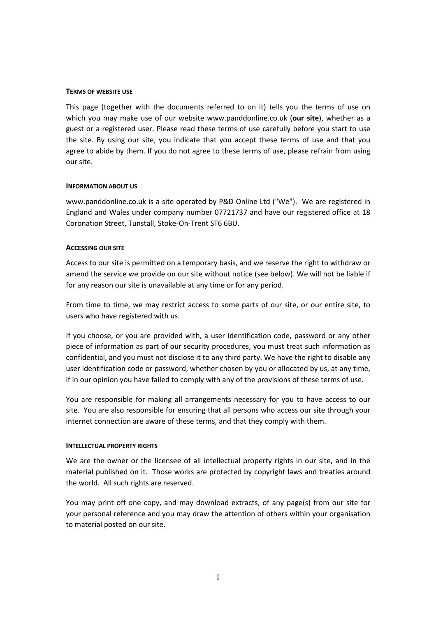### TERMS OF WEBSITE USE

This page (together with the documents referred to on it) tells you the terms of use on which you may make use of our website www.panddonline.co.uk (our site), whether as a guest or a registered user. Please read these terms of use carefully before you start to use the site. By using our site, you indicate that you accept these terms of use and that you agree to abide by them. If you do not agree to these terms of use, please refrain from using our site.

### INFORMATION ABOUT US

www.panddonline.co.uk is a site operated by P&D Online Ltd ("We"). We are registered in England and Wales under company number 07721737 and have our registered office at 18 Coronation Street, Tunstall, Stoke-On-Trent ST6 6BU.

#### ACCESSING OUR SITE

Access to our site is permitted on a temporary basis, and we reserve the right to withdraw or amend the service we provide on our site without notice (see below). We will not be liable if for any reason our site is unavailable at any time or for any period.

From time to time, we may restrict access to some parts of our site, or our entire site, to users who have registered with us.

If you choose, or you are provided with, a user identification code, password or any other piece of information as part of our security procedures, you must treat such information as confidential, and you must not disclose it to any third party. We have the right to disable any user identification code or password, whether chosen by you or allocated by us, at any time, if in our opinion you have failed to comply with any of the provisions of these terms of use.

You are responsible for making all arrangements necessary for you to have access to our site. You are also responsible for ensuring that all persons who access our site through your internet connection are aware of these terms, and that they comply with them.

### INTELLECTUAL PROPERTY RIGHTS

We are the owner or the licensee of all intellectual property rights in our site, and in the material published on it. Those works are protected by copyright laws and treaties around the world. All such rights are reserved.

You may print off one copy, and may download extracts, of any page(s) from our site for your personal reference and you may draw the attention of others within your organisation to material posted on our site.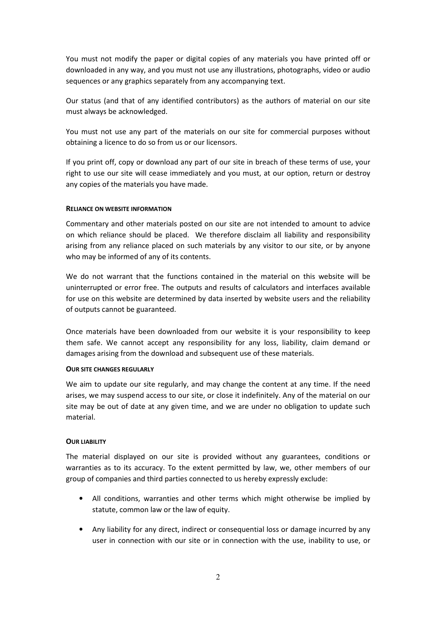You must not modify the paper or digital copies of any materials you have printed off or downloaded in any way, and you must not use any illustrations, photographs, video or audio sequences or any graphics separately from any accompanying text.

Our status (and that of any identified contributors) as the authors of material on our site must always be acknowledged.

You must not use any part of the materials on our site for commercial purposes without obtaining a licence to do so from us or our licensors.

If you print off, copy or download any part of our site in breach of these terms of use, your right to use our site will cease immediately and you must, at our option, return or destroy any copies of the materials you have made.

### RELIANCE ON WEBSITE INFORMATION

Commentary and other materials posted on our site are not intended to amount to advice on which reliance should be placed. We therefore disclaim all liability and responsibility arising from any reliance placed on such materials by any visitor to our site, or by anyone who may be informed of any of its contents.

We do not warrant that the functions contained in the material on this website will be uninterrupted or error free. The outputs and results of calculators and interfaces available for use on this website are determined by data inserted by website users and the reliability of outputs cannot be guaranteed.

Once materials have been downloaded from our website it is your responsibility to keep them safe. We cannot accept any responsibility for any loss, liability, claim demand or damages arising from the download and subsequent use of these materials.

### OUR SITE CHANGES REGULARLY

We aim to update our site regularly, and may change the content at any time. If the need arises, we may suspend access to our site, or close it indefinitely. Any of the material on our site may be out of date at any given time, and we are under no obligation to update such material.

## **OUR LIABILITY**

The material displayed on our site is provided without any guarantees, conditions or warranties as to its accuracy. To the extent permitted by law, we, other members of our group of companies and third parties connected to us hereby expressly exclude:

- All conditions, warranties and other terms which might otherwise be implied by statute, common law or the law of equity.
- Any liability for any direct, indirect or consequential loss or damage incurred by any user in connection with our site or in connection with the use, inability to use, or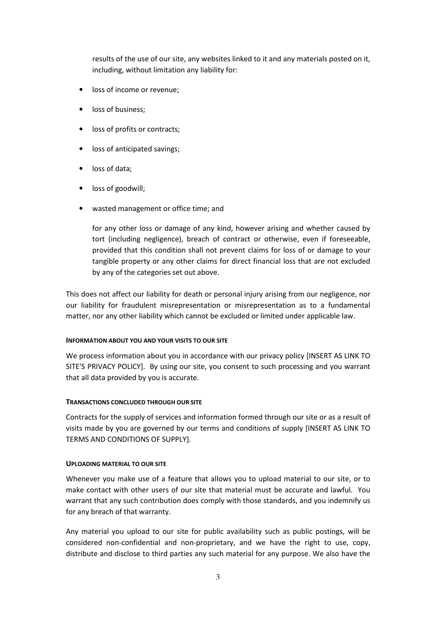results of the use of our site, any websites linked to it and any materials posted on it, including, without limitation any liability for:

- loss of income or revenue;
- loss of business:
- loss of profits or contracts;
- loss of anticipated savings;
- loss of data:
- loss of goodwill;
- wasted management or office time; and

for any other loss or damage of any kind, however arising and whether caused by tort (including negligence), breach of contract or otherwise, even if foreseeable, provided that this condition shall not prevent claims for loss of or damage to your tangible property or any other claims for direct financial loss that are not excluded by any of the categories set out above.

This does not affect our liability for death or personal injury arising from our negligence, nor our liability for fraudulent misrepresentation or misrepresentation as to a fundamental matter, nor any other liability which cannot be excluded or limited under applicable law.

## INFORMATION ABOUT YOU AND YOUR VISITS TO OUR SITE

We process information about you in accordance with our privacy policy [INSERT AS LINK TO SITE'S PRIVACY POLICY]. By using our site, you consent to such processing and you warrant that all data provided by you is accurate.

## TRANSACTIONS CONCLUDED THROUGH OUR SITE

Contracts for the supply of services and information formed through our site or as a result of visits made by you are governed by our terms and conditions of supply [INSERT AS LINK TO TERMS AND CONDITIONS OF SUPPLY].

### UPLOADING MATERIAL TO OUR SITE

Whenever you make use of a feature that allows you to upload material to our site, or to make contact with other users of our site that material must be accurate and lawful. You warrant that any such contribution does comply with those standards, and you indemnify us for any breach of that warranty.

Any material you upload to our site for public availability such as public postings, will be considered non-confidential and non-proprietary, and we have the right to use, copy, distribute and disclose to third parties any such material for any purpose. We also have the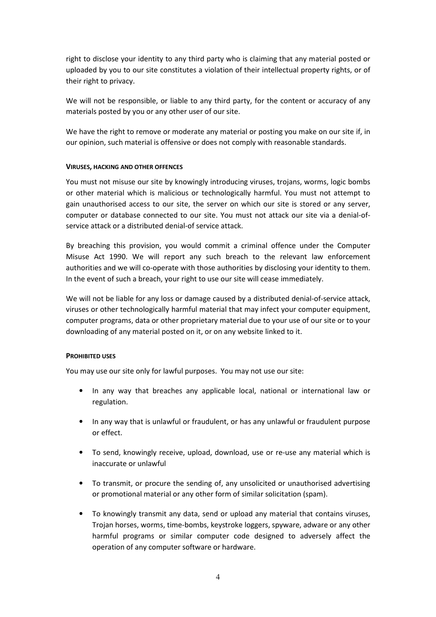right to disclose your identity to any third party who is claiming that any material posted or uploaded by you to our site constitutes a violation of their intellectual property rights, or of their right to privacy.

We will not be responsible, or liable to any third party, for the content or accuracy of any materials posted by you or any other user of our site.

We have the right to remove or moderate any material or posting you make on our site if, in our opinion, such material is offensive or does not comply with reasonable standards.

## VIRUSES, HACKING AND OTHER OFFENCES

You must not misuse our site by knowingly introducing viruses, trojans, worms, logic bombs or other material which is malicious or technologically harmful. You must not attempt to gain unauthorised access to our site, the server on which our site is stored or any server, computer or database connected to our site. You must not attack our site via a denial-ofservice attack or a distributed denial-of service attack.

By breaching this provision, you would commit a criminal offence under the Computer Misuse Act 1990. We will report any such breach to the relevant law enforcement authorities and we will co-operate with those authorities by disclosing your identity to them. In the event of such a breach, your right to use our site will cease immediately.

We will not be liable for any loss or damage caused by a distributed denial-of-service attack, viruses or other technologically harmful material that may infect your computer equipment, computer programs, data or other proprietary material due to your use of our site or to your downloading of any material posted on it, or on any website linked to it.

### PROHIBITED USES

You may use our site only for lawful purposes. You may not use our site:

- In any way that breaches any applicable local, national or international law or regulation.
- In any way that is unlawful or fraudulent, or has any unlawful or fraudulent purpose or effect.
- To send, knowingly receive, upload, download, use or re-use any material which is inaccurate or unlawful
- To transmit, or procure the sending of, any unsolicited or unauthorised advertising or promotional material or any other form of similar solicitation (spam).
- To knowingly transmit any data, send or upload any material that contains viruses, Trojan horses, worms, time-bombs, keystroke loggers, spyware, adware or any other harmful programs or similar computer code designed to adversely affect the operation of any computer software or hardware.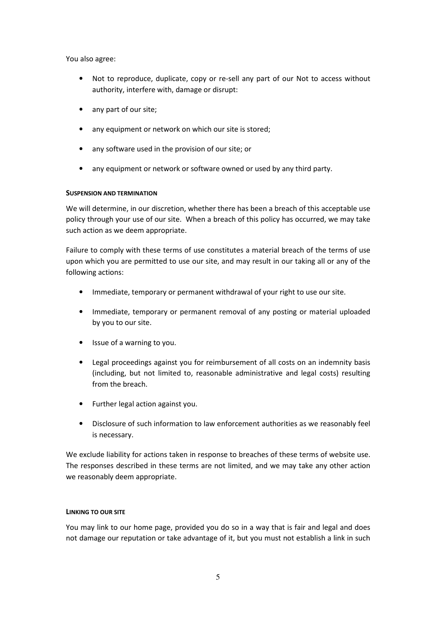You also agree:

- Not to reproduce, duplicate, copy or re-sell any part of our Not to access without authority, interfere with, damage or disrupt:
- any part of our site;
- any equipment or network on which our site is stored;
- any software used in the provision of our site; or
- any equipment or network or software owned or used by any third party.

# SUSPENSION AND TERMINATION

We will determine, in our discretion, whether there has been a breach of this acceptable use policy through your use of our site. When a breach of this policy has occurred, we may take such action as we deem appropriate.

Failure to comply with these terms of use constitutes a material breach of the terms of use upon which you are permitted to use our site, and may result in our taking all or any of the following actions:

- Immediate, temporary or permanent withdrawal of your right to use our site.
- Immediate, temporary or permanent removal of any posting or material uploaded by you to our site.
- Issue of a warning to you.
- Legal proceedings against you for reimbursement of all costs on an indemnity basis (including, but not limited to, reasonable administrative and legal costs) resulting from the breach.
- Further legal action against you.
- Disclosure of such information to law enforcement authorities as we reasonably feel is necessary.

We exclude liability for actions taken in response to breaches of these terms of website use. The responses described in these terms are not limited, and we may take any other action we reasonably deem appropriate.

## LINKING TO OUR SITE

You may link to our home page, provided you do so in a way that is fair and legal and does not damage our reputation or take advantage of it, but you must not establish a link in such